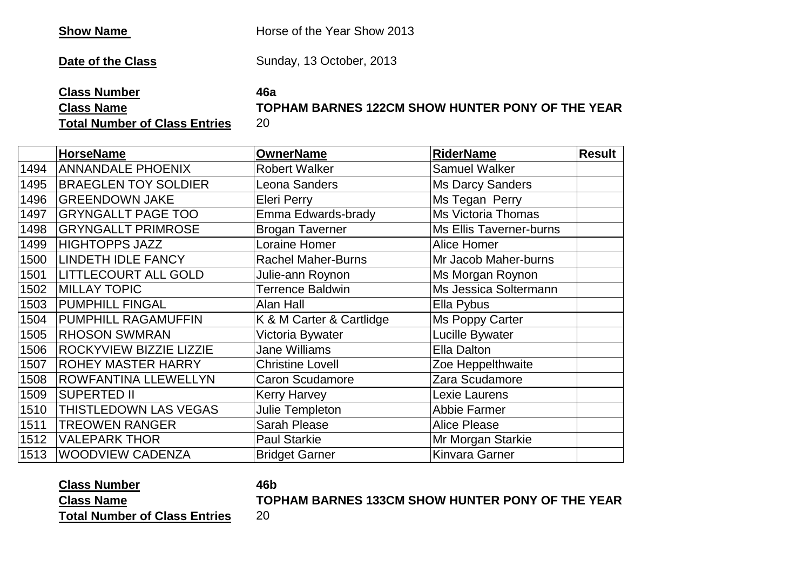**Show Name** Horse of the Year Show 2013

**Date of the Class** Sunday, 13 October, 2013

**Class Number 46a**

**Class Name**

**TOPHAM BARNES 122CM SHOW HUNTER PONY OF THE YEAR**

**Total Number of Class Entries**

|      | <b>HorseName</b>             | <b>OwnerName</b>          | <b>RiderName</b>          | <b>Result</b> |
|------|------------------------------|---------------------------|---------------------------|---------------|
| 1494 | <b>ANNANDALE PHOENIX</b>     | <b>Robert Walker</b>      | <b>Samuel Walker</b>      |               |
| 1495 | <b>BRAEGLEN TOY SOLDIER</b>  | Leona Sanders             | <b>Ms Darcy Sanders</b>   |               |
| 1496 | <b>GREENDOWN JAKE</b>        | <b>Eleri Perry</b>        | Ms Tegan Perry            |               |
| 1497 | <b>GRYNGALLT PAGE TOO</b>    | Emma Edwards-brady        | <b>Ms Victoria Thomas</b> |               |
| 1498 | <b>GRYNGALLT PRIMROSE</b>    | <b>Brogan Taverner</b>    | Ms Ellis Taverner-burns   |               |
| 1499 | <b>HIGHTOPPS JAZZ</b>        | Loraine Homer             | <b>Alice Homer</b>        |               |
| 1500 | <b>LINDETH IDLE FANCY</b>    | <b>Rachel Maher-Burns</b> | Mr Jacob Maher-burns      |               |
| 1501 | <b>LITTLECOURT ALL GOLD</b>  | Julie-ann Roynon          | Ms Morgan Roynon          |               |
| 1502 | <b>MILLAY TOPIC</b>          | <b>Terrence Baldwin</b>   | Ms Jessica Soltermann     |               |
| 1503 | <b>PUMPHILL FINGAL</b>       | Alan Hall                 | Ella Pybus                |               |
| 1504 | PUMPHILL RAGAMUFFIN          | K & M Carter & Cartlidge  | Ms Poppy Carter           |               |
| 1505 | <b>RHOSON SWMRAN</b>         | Victoria Bywater          | Lucille Bywater           |               |
| 1506 | ROCKYVIEW BIZZIE LIZZIE      | Jane Williams             | Ella Dalton               |               |
| 1507 | <b>ROHEY MASTER HARRY</b>    | <b>Christine Lovell</b>   | Zoe Heppelthwaite         |               |
| 1508 | ROWFANTINA LLEWELLYN         | <b>Caron Scudamore</b>    | Zara Scudamore            |               |
| 1509 | <b>SUPERTED II</b>           | <b>Kerry Harvey</b>       | Lexie Laurens             |               |
| 1510 | <b>THISTLEDOWN LAS VEGAS</b> | Julie Templeton           | Abbie Farmer              |               |
| 1511 | <b>TREOWEN RANGER</b>        | <b>Sarah Please</b>       | <b>Alice Please</b>       |               |
| 1512 | VALEPARK THOR                | <b>Paul Starkie</b>       | Mr Morgan Starkie         |               |
| 1513 | <b>WOODVIEW CADENZA</b>      | <b>Bridget Garner</b>     | <b>Kinvara Garner</b>     |               |

### **Class Number 46b Class Name**

**TOPHAM BARNES 133CM SHOW HUNTER PONY OF THE YEAR**

**Total Number of Class Entries**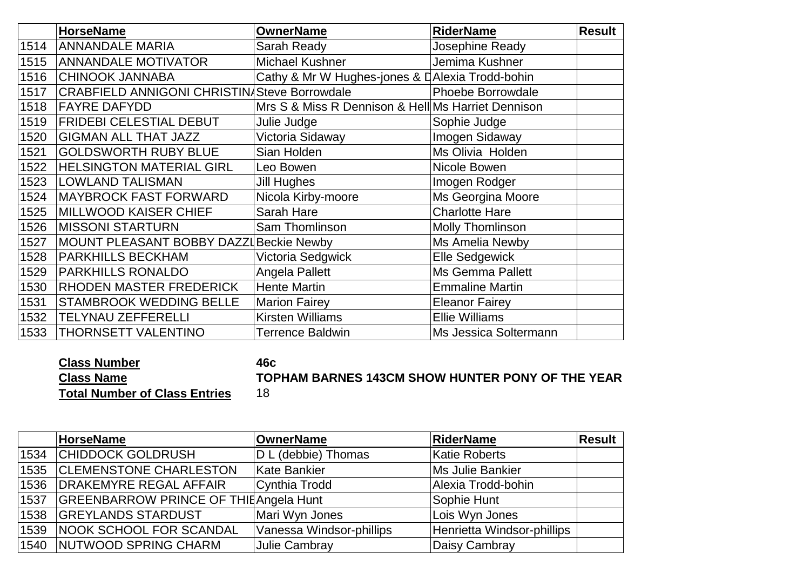|      | <b>HorseName</b>                                    | <b>OwnerName</b>                                   | <b>RiderName</b>         | <b>Result</b> |
|------|-----------------------------------------------------|----------------------------------------------------|--------------------------|---------------|
| 1514 | <b>ANNANDALE MARIA</b>                              | Sarah Ready                                        | Josephine Ready          |               |
| 1515 | <b>ANNANDALE MOTIVATOR</b>                          | <b>Michael Kushner</b>                             | Jemima Kushner           |               |
| 1516 | <b>CHINOOK JANNABA</b>                              | Cathy & Mr W Hughes-jones & DAlexia Trodd-bohin    |                          |               |
| 1517 | <b>CRABFIELD ANNIGONI CHRISTIN/Steve Borrowdale</b> |                                                    | <b>Phoebe Borrowdale</b> |               |
| 1518 | <b>FAYRE DAFYDD</b>                                 | Mrs S & Miss R Dennison & Hell Ms Harriet Dennison |                          |               |
| 1519 | <b>FRIDEBI CELESTIAL DEBUT</b>                      | Julie Judge                                        | Sophie Judge             |               |
| 1520 | <b>GIGMAN ALL THAT JAZZ</b>                         | Victoria Sidaway                                   | Imogen Sidaway           |               |
| 1521 | <b>GOLDSWORTH RUBY BLUE</b>                         | Sian Holden                                        | Ms Olivia Holden         |               |
| 1522 | <b>HELSINGTON MATERIAL GIRL</b>                     | Leo Bowen                                          | Nicole Bowen             |               |
| 1523 | <b>LOWLAND TALISMAN</b>                             | <b>Jill Hughes</b>                                 | Imogen Rodger            |               |
| 1524 | <b>MAYBROCK FAST FORWARD</b>                        | Nicola Kirby-moore                                 | Ms Georgina Moore        |               |
| 1525 | <b>MILLWOOD KAISER CHIEF</b>                        | Sarah Hare                                         | <b>Charlotte Hare</b>    |               |
| 1526 | <b>MISSONI STARTURN</b>                             | Sam Thomlinson                                     | Molly Thomlinson         |               |
| 1527 | MOUNT PLEASANT BOBBY DAZZI Beckie Newby             |                                                    | Ms Amelia Newby          |               |
| 1528 | <b>PARKHILLS BECKHAM</b>                            | Victoria Sedgwick                                  | <b>Elle Sedgewick</b>    |               |
| 1529 | <b>PARKHILLS RONALDO</b>                            | Angela Pallett                                     | <b>Ms Gemma Pallett</b>  |               |
| 1530 | RHODEN MASTER FREDERICK                             | <b>Hente Martin</b>                                | <b>Emmaline Martin</b>   |               |
| 1531 | <b>STAMBROOK WEDDING BELLE</b>                      | <b>Marion Fairey</b>                               | <b>Eleanor Fairey</b>    |               |
| 1532 | <b>TELYNAU ZEFFERELLI</b>                           | <b>Kirsten Williams</b>                            | <b>Ellie Williams</b>    |               |
| 1533 | THORNSETT VALENTINO                                 | <b>Terrence Baldwin</b>                            | Ms Jessica Soltermann    |               |

**Class Number 46c Class Name Total Number of Class Entries**

### **TOPHAM BARNES 143CM SHOW HUNTER PONY OF THE YEAR**

|      | HorseName                              | <b>OwnerName</b>         | RiderName                  | Result |
|------|----------------------------------------|--------------------------|----------------------------|--------|
| 1534 | <b>CHIDDOCK GOLDRUSH</b>               | D L (debbie) Thomas      | Katie Roberts              |        |
| 1535 | <b>CLEMENSTONE CHARLESTON</b>          | Kate Bankier             | <b>Ms Julie Bankier</b>    |        |
| 1536 | <b>DRAKEMYRE REGAL AFFAIR</b>          | Cynthia Trodd            | Alexia Trodd-bohin         |        |
| 1537 | GREENBARROW PRINCE OF THIE Angela Hunt |                          | Sophie Hunt                |        |
| 1538 | <b>GREYLANDS STARDUST</b>              | Mari Wyn Jones           | Lois Wyn Jones             |        |
| 1539 | NOOK SCHOOL FOR SCANDAL                | Vanessa Windsor-phillips | Henrietta Windsor-phillips |        |
| 1540 | NUTWOOD SPRING CHARM                   | Julie Cambray            | Daisy Cambray              |        |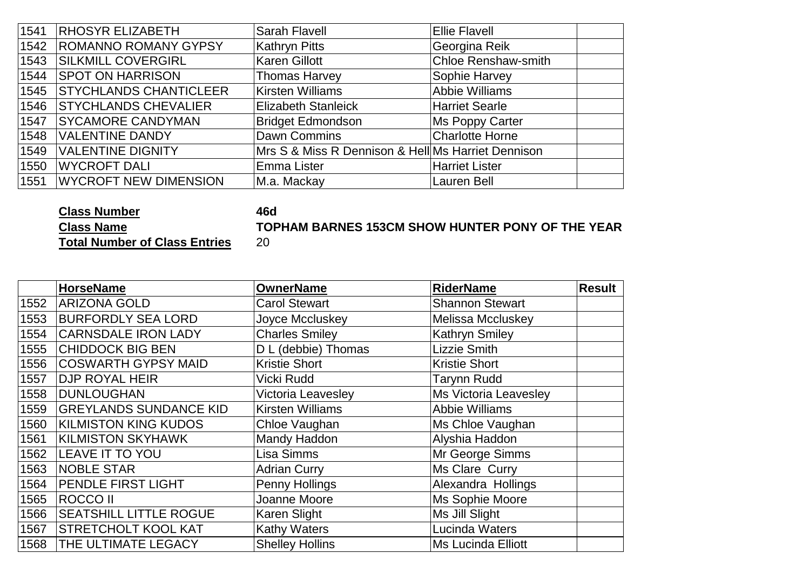| 1541 | <b>RHOSYR ELIZABETH</b>       | <b>Sarah Flavell</b>                               | <b>Ellie Flavell</b>       |
|------|-------------------------------|----------------------------------------------------|----------------------------|
| 1542 | <b>ROMANNO ROMANY GYPSY</b>   | <b>Kathryn Pitts</b>                               | Georgina Reik              |
| 1543 | <b>SILKMILL COVERGIRL</b>     | <b>Karen Gillott</b>                               | <b>Chloe Renshaw-smith</b> |
| 1544 | <b>SPOT ON HARRISON</b>       | <b>Thomas Harvey</b>                               | Sophie Harvey              |
| 1545 | <b>STYCHLANDS CHANTICLEER</b> | Kirsten Williams                                   | Abbie Williams             |
| 1546 | <b>STYCHLANDS CHEVALIER</b>   | <b>Elizabeth Stanleick</b>                         | Harriet Searle             |
| 1547 | <b>SYCAMORE CANDYMAN</b>      | <b>Bridget Edmondson</b>                           | Ms Poppy Carter            |
| 1548 | VALENTINE DANDY               | Dawn Commins                                       | <b>Charlotte Horne</b>     |
| 1549 | <b>VALENTINE DIGNITY</b>      | Mrs S & Miss R Dennison & Hell Ms Harriet Dennison |                            |
| 1550 | <b>WYCROFT DALI</b>           | Emma Lister                                        | <b>Harriet Lister</b>      |
| 1551 | <b>WYCROFT NEW DIMENSION</b>  | M.a. Mackay                                        | <b>Lauren Bell</b>         |

# **Class Number 46d**

**Class Name Total Number of Class Entries**

## **TOPHAM BARNES 153CM SHOW HUNTER PONY OF THE YEAR**

|      | <b>HorseName</b>              | <b>OwnerName</b>        | <b>RiderName</b>          | <b>Result</b> |
|------|-------------------------------|-------------------------|---------------------------|---------------|
| 1552 | <b>ARIZONA GOLD</b>           | <b>Carol Stewart</b>    | <b>Shannon Stewart</b>    |               |
| 1553 | <b>BURFORDLY SEA LORD</b>     | Joyce Mccluskey         | Melissa Mccluskey         |               |
| 1554 | <b>CARNSDALE IRON LADY</b>    | <b>Charles Smiley</b>   | <b>Kathryn Smiley</b>     |               |
| 1555 | <b>CHIDDOCK BIG BEN</b>       | D L (debbie) Thomas     | <b>Lizzie Smith</b>       |               |
| 1556 | <b>COSWARTH GYPSY MAID</b>    | <b>Kristie Short</b>    | <b>Kristie Short</b>      |               |
| 1557 | <b>DJP ROYAL HEIR</b>         | Vicki Rudd              | <b>Tarynn Rudd</b>        |               |
| 1558 | DUNLOUGHAN                    | Victoria Leavesley      | Ms Victoria Leavesley     |               |
| 1559 | <b>GREYLANDS SUNDANCE KID</b> | <b>Kirsten Williams</b> | <b>Abbie Williams</b>     |               |
| 1560 | <b>KILMISTON KING KUDOS</b>   | Chloe Vaughan           | Ms Chloe Vaughan          |               |
| 1561 | <b>KILMISTON SKYHAWK</b>      | Mandy Haddon            | Alyshia Haddon            |               |
| 1562 | <b>LEAVE IT TO YOU</b>        | Lisa Simms              | Mr George Simms           |               |
| 1563 | NOBLE STAR                    | <b>Adrian Curry</b>     | Ms Clare Curry            |               |
| 1564 | <b>PENDLE FIRST LIGHT</b>     | Penny Hollings          | Alexandra Hollings        |               |
| 1565 | <b>ROCCO II</b>               | Joanne Moore            | Ms Sophie Moore           |               |
| 1566 | <b>SEATSHILL LITTLE ROGUE</b> | Karen Slight            | Ms Jill Slight            |               |
| 1567 | <b>STRETCHOLT KOOL KAT</b>    | <b>Kathy Waters</b>     | Lucinda Waters            |               |
| 1568 | THE ULTIMATE LEGACY           | <b>Shelley Hollins</b>  | <b>Ms Lucinda Elliott</b> |               |